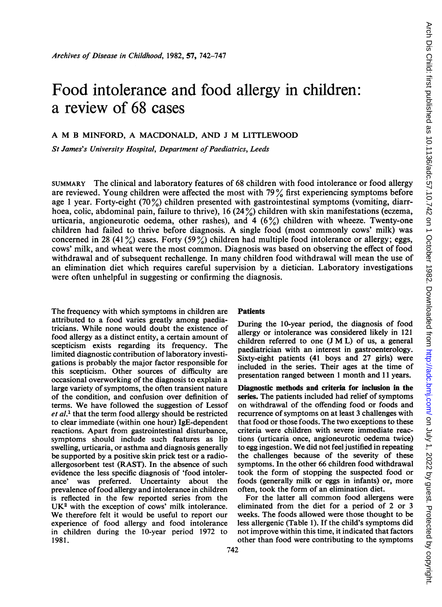# Food intolerance and food allergy in children: a review of 68 cases

# A M <sup>B</sup> MINFORD, A MACDONALD, AND <sup>J</sup> M LITTLEWOOD

St James's University Hospital, Department of Paediatrics, Leeds

SUMMARY The clinical and laboratory features of 68 children with food intolerance or food allergy are reviewed. Young children were affected the most with  $79\%$  first experiencing symptoms before age 1 year. Forty-eight (70%) children presented with gastrointestinal symptoms (vomiting, diarrhoea, colic, abdominal pain, failure to thrive), 16 (24%) children with skin manifestations (eczema, urticaria, angioneurotic oedema, other rashes), and  $4(6%)$  children with wheeze. Twenty-one children had failed to thrive before diagnosis. A single food (most commonly cows' milk) was concerned in 28 (41 $\frac{\%}{\%}$ ) cases. Forty (59 $\frac{\%}{\%}$ ) children had multiple food intolerance or allergy; eggs, cows" milk, and wheat were the most common. Diagnosis was based on observing the effect of food withdrawal and of subsequent rechallenge. In many children food withdrawal will mean the use of an elimination diet which requires careful supervision by a dietician. Laboratory investigations were often unhelpful in suggesting or confirming the diagnosis.

The frequency with which symptoms in children are attributed to a food varies greatly among paediatricians. While none would doubt the existence of food allergy as a distinct entity, a certain amount of scepticism exists regarding its frequency. The limited diagnostic contribution of laboratory investigations is probably the major factor responsible for this scepticism. Other sources of difficulty are occasional overworking of the diagnosis to explain a large variety of symptoms, the often transient nature of the condition, and confusion over definition of terms. We have followed the suggestion of Lessof  $et al.$ <sup>1</sup> that the term food allergy should be restricted to clear immediate (within one hour) IgE-dependent reactions. Apart from gastrointestinal disturbance, symptoms should include such features as lip swelling, urticaria, or asthma and diagnosis generally be supported by a positive skin prick test or a radioallergosorbent test (RAST). In the absence of such evidence the less specific diagnosis of 'food intolerance' was preferred. Uncertainty about the prevalence of food allergy and intolerance in children is reflected in the few reported series from the UK<sup>2</sup> with the exception of cows' milk intolerance. We therefore felt it would be useful to report our experience of food allergy and food intolerance in children during the 10-year period 1972 to 1981.

## Patients

During the 10-year period, the diagnosis of food allergy or intolerance was considered likely in 121 children referred to one (J M L) of us, <sup>a</sup> general paediatrician with an interest in gastroenterology. Sixty-eight patients (41 boys and 27 girls) were included in the series. Their ages at the time of presentation ranged between <sup>1</sup> month and <sup>11</sup> years.

Diagnostic methods and criteria for inclusion in the series. The patients included had relief of symptoms on withdrawal of the offending food or foods and recurrence of symptoms on at least 3 challenges with that food or those foods. The two exceptions to these criteria were children with severe immediate reactions (urticaria once, angioneurotic oedema twice) to egg ingestion. We did not feel justified in repeating the challenges because of the severity of these symptoms. In the other 66 children food withdrawal took the form of stopping the suspected food or foods (generally milk or eggs in infants) or, more often, took the form of an elimination diet.

For the latter all common food allergens were eliminated from the diet for a period of 2 or 3 weeks. The foods allowed were those thought to be less allergenic (Table 1). If the child's symptoms did not improve within this time, it indicated that factors other than food were contributing to the symptoms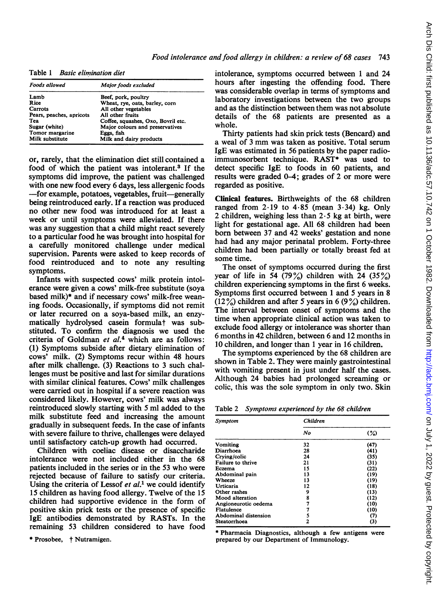Table 1 Basic elimination diet

| <b>Foods allowed</b>     | Major foods excluded               |  |
|--------------------------|------------------------------------|--|
| Lamb                     | Beef, pork, poultry                |  |
| Rice                     | Wheat, rye, oats, barley, corn     |  |
| Carrots                  | All other vegetables               |  |
| Pears, peaches, apricots | All other fruits                   |  |
| Tea                      | Coffee, squashes, Oxo, Bovril etc. |  |
| Sugar (white)            | Major colours and preservatives    |  |
| Tomor margarine          | Eggs, fish                         |  |
| Milk substitute          | Milk and dairy products            |  |

or, rarely, that the elimination diet still contained a food of which the patient was intolerant.3 If the symptoms did improve, the patient was challenged with one new food every 6 days, less allergenic foods -for example, potatoes, vegetables, fruit-generally being reintroduced early. If a reaction was produced no other new food was introduced for at least a week or until symptoms were alleviated. If there was any suggestion that a child might react severely to a particular food he was brought into hospital for a carefully monitored challenge under medical supervision. Parents were asked to keep records of food reintroduced and to note any resulting symptoms.

Infants with suspected cows' milk protein intolerance were given a cows' milk-free substitute (soya based milk)\* and if necessary cows' milk-free weaning foods. Occasionally, if symptoms did not remit or later recurred on a soya-based milk, an enzymatically hydrolysed casein formulat was substituted. To confirm the diagnosis we used the criteria of Goldman et al.<sup>4</sup> which are as follows: (1) Symptoms subside after dietary elimination of cows' milk. (2) Symptoms recur within 48 hours after milk challenge. (3) Reactions to 3 such challenges must be positive and last for similar durations with similar clinical features. Cows' milk challenges were carried out in hospital if a severe reaction was considered likely. However, cows' milk was always reintroduced slowly starting with 5 ml added to the milk substitute feed and increasing the amount gradually in subsequent feeds. In the case of infants with severe failure to thrive, challenges were delayed until satisfactory catch-up growth had occurred.

Children with coeliac disease or disaccharide intolerance were not included either in the 68 patients included in the series or in the 53 who were rejected because of failure to satisfy our criteria. Using the criteria of Lessof et  $al<sup>1</sup>$  we could identify 15 children as having food allergy. Twelve of the 15 children had supportive evidence in the form of positive skin prick tests or the presence of specific IgE antibodies demonstrated by RASTs. In the remaining 53 children considered to have food

\* Prosobee, † Nutramigen.

intolerance, symptoms occurred between <sup>1</sup> and 24 hours after ingesting the offending food. There was considerable overlap in terms of symptoms and laboratory investigations between the two groups and as the distinction between them was not absolute details of the 68 patients are presented as a whole.

Thirty patients had skin prick tests (Bencard) and <sup>a</sup> weal of <sup>3</sup> mm was taken as positive. Total serum IgE was estimated in 56 patients by the paper radioimmunosorbent technique. RAST\* was used to detect specific IgE to foods in 60 patients, and results were graded 0-4; grades of 2 or more were regarded as positive.

Clinical features. Birthweights of the 68 children ranged from  $2.19$  to  $4.85$  (mean  $3.34$ ) kg. Only 2 children, weighing less than  $2.5$  kg at birth, were light for gestational age. All 68 children had been born between 37 and 42 weeks' gestation and none had had any major perinatal problem. Forty-three children had been partially or totally breast fed at some time.

The onset of symptoms occurred during the first year of life in 54 (79%) children with 24 (35%) children experiencing symptoms in the first 6 weeks. Symptoms first occurred between <sup>1</sup> and 5 years in 8  $(12\%)$  children and after 5 years in 6 (9%) children. The interval between onset of symptoms and the time when appropriate clinical action was taken to exclude food allergy or intolerance was shorter than 6 months in 42 children, between 6 and 12 months in 10 children, and longer than <sup>1</sup> year in 16 children.

The symptoms experienced by the 68 children are shown in Table 2. They were mainly gastrointestinal with vomiting present in just under half the cases. Although 24 babies had prolonged screaming or colic, this was the sole symptom in only two. Skin

| Table 2 Symptoms experienced by the 68 children |  |  |  |  |
|-------------------------------------------------|--|--|--|--|
|-------------------------------------------------|--|--|--|--|

| Symptom              | Children |        |  |  |
|----------------------|----------|--------|--|--|
|                      | No       | $(\%)$ |  |  |
| <b>Vomiting</b>      | 32       | (47)   |  |  |
| Diarrhoea            | 28       | (41)   |  |  |
| Crying/colic         | 24       | (35)   |  |  |
| Failure to thrive    | 21       | (31)   |  |  |
| Eczema               | 15       | (22)   |  |  |
| Abdominal pain       | 13       | (19)   |  |  |
| Wheeze               | 13       | (19)   |  |  |
| Urticaria            | 12       | (18)   |  |  |
| Other rashes         | 9        | (13)   |  |  |
| Mood alteration      | 8        | (12)   |  |  |
| Angioneurotic oedema | 7        | (10)   |  |  |
| Flatulence           |          | (10)   |  |  |
| Abdominal distension | 5        | (7)    |  |  |
| Steatorrhoea         | 2        | (3)    |  |  |

\* Pharmacia Diagnostics, although a few antigens were prepared by our Department of Immunology.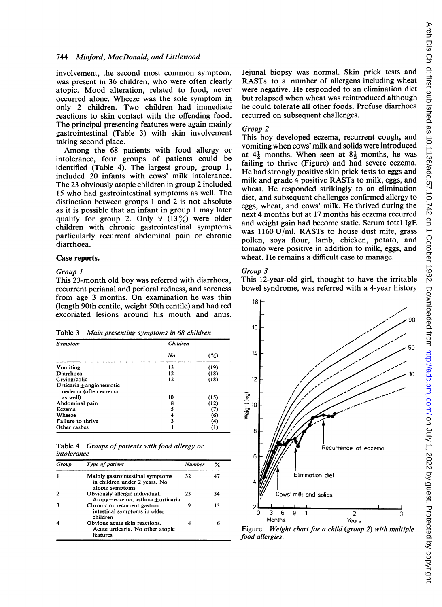involvement, the second most common symptom, was present in 36 children, who were often clearly atopic. Mood alteration, related to food, never occurred alone. Wheeze was the sole symptom in only 2 children. Two children had immediate reactions to skin contact with the offending food. The principal presenting features were again mainly gastrointestinal (Table 3) with skin involvement taking second place.

Among the 68 patients with food allergy or intolerance, four groups of patients could be identified (Table 4). The largest group, group 1, included 20 infants with cows' milk intolerance. The 23 obviously atopic children in group 2 included 15 who had gastrointestinal symptoms as well. The distinction between groups <sup>1</sup> and 2 is not absolute as it is possible that an infant in group <sup>1</sup> may later qualify for group 2. Only 9  $(13\%)$  were older children with chronic gastrointestinal symptoms particularly recurrent abdominal pain or chronic diarrhoea.

## Case reports.

#### Group I

This 23-month old boy was referred with diarrhoea, recurrent perianal and perioral redness, and soreness from age <sup>3</sup> months. On examination he was thin (length 90th centile, weight 50th centile) and had red excoriated lesions around his mouth and anus.

Table 3 Main presenting symptoms in 68 children

| Symptom                                               | Children |                  |
|-------------------------------------------------------|----------|------------------|
|                                                       | No       | $(\%)$           |
| Vomiting                                              | 13       | (19)             |
| Diarrhoea                                             | 12       | (18)             |
| Crying/colic                                          | 12       | (18)             |
| Urticaria $\pm$ angioneurotic<br>oedema (often eczema |          |                  |
| as well)                                              | 10       | (15)             |
| Abdominal pain                                        | 8        | (12)             |
| Eczema                                                | 5        | (7)              |
| Wheeze                                                | 4        | (6)              |
| Failure to thrive                                     | 3        | (4)              |
| Other rashes                                          |          | $\left(1\right)$ |

Table 4 Groups of patients with food allergy or intolerance

| Group        | Type of patient                                                                      | <b>Number</b> |    |
|--------------|--------------------------------------------------------------------------------------|---------------|----|
|              | Mainly gastrointestinal symptoms<br>in children under 2 years. No<br>atopic symptoms | 32            | 47 |
| $\mathbf{2}$ | Obviously allergic individual.<br>$Atopy - eczema$ , asthma $+$ urticaria            | 23            | 34 |
| 3            | Chronic or recurrent gastro-<br>intestinal symptoms in older<br>children             | 9             | 13 |
| 4            | Obvious acute skin reactions.<br>Acute urticaria. No other atopic<br>features        |               |    |

Jejunal biopsy was normal. Skin prick tests and RASTs to a number of allergens including wheat were negative. He responded to an elimination diet but relapsed when wheat was reintroduced although he could tolerate all other foods. Profuse diarrhoea recurred on subsequent challenges.

#### Group 2

This boy developed eczema, recurrent cough, and vomiting when cows' milk and solids were introduced at  $4\frac{1}{2}$  months. When seen at  $8\frac{1}{2}$  months, he was failing to thrive (Figure) and had severe eczema. He had strongly positive skin prick tests to eggs and milk and grade 4 positive RASTs to milk, eggs, and wheat. He responded strikingly to an elimination diet, and subsequent challenges confirmed allergy to eggs, wheat, and cows' milk. He thrived during the next 4 months but at 17 months his eczema recurred and weight gain had become static. Serum total IgE was 1160 U/mI. RASTs to house dust mite, grass pollen, soya flour, lamb, chicken, potato, and tomato were positive in addition to milk, eggs, and wheat. He remains a difficult case to manage.

#### Group 3

This 12-year-old girl, thought to have the irritable bowel syndrome, was referred with a 4-year history



Figure Weight chart for a child (group 2) with multiple food allergies.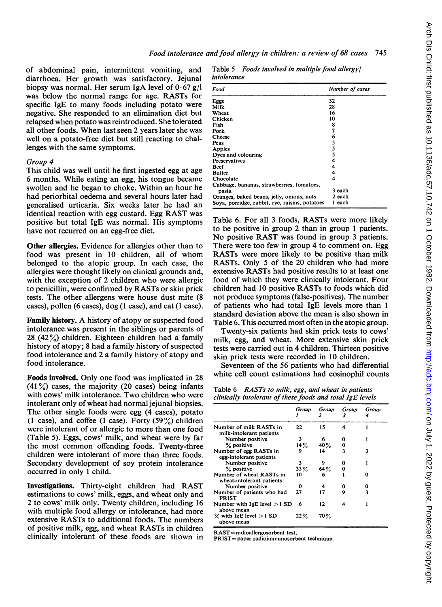of abdominal pain, intermittent vomiting, and diarrhoea. Her growth was satisfactory. Jejunal biopsy was normal. Her serum IgA level of  $0.67$  g/l was below the normal range for age. RASTs for specific IgE to many foods including potato were negative. She responded to an elimination diet but relapsed when potato was reintroduced. She tolerated all other foods. When last seen 2 years later she was well on a potato-free diet but still reacting to challenges with the same symptoms.

# Group 4

This child was well until he first ingested egg at age 6 months. While eating an egg, his tongue became swollen and he began to choke. Within an hour he had periorbital oedema and several hours later had generalised urticaria. Six weeks later he had an identical reaction with egg custard. Egg RAST was positive but total IgE was normal. His symptoms have not recurred on an egg-free diet.

Other allergies. Evidence for allergies other than to food was present in <sup>10</sup> children, all of whom belonged to the atopic group. In each case, the allergies were thought likely on clinical grounds and, with the exception of 2 children who were allergic to penicillin, were confirmed by RASTs or skin prick tests. The other allergens were house dust mite (8 cases), pollen (6 cases), dog (1 case), and cat (1 case).

Family history. A history of atopy or suspected food intolerance was present in the siblings or parents of 28 (42%) children. Eighteen children had a family history of atopy; 8 had a family history of suspected food intolerance and 2 a family history of atopy and food intolerance.

Foods involved. Only one food was implicated in 28  $(41\%)$  cases, the majority (20 cases) being infants with cows' milk intolerance. Two children who were intolerant only of wheat had normal jejunal biopsies. The other single foods were egg (4 cases), potato (1 case), and coffee (1 case). Forty  $(59\%)$  children were intolerant of or allergic to more than one food (Table 5). Eggs, cows' milk, and wheat were by far the most common offending foods. Twenty-three children were intolerant of more than three foods. Secondary development of soy protein intolerance occurred in only <sup>1</sup> child.

Investigations. Thirty-eight children had RAST estimations to cows' milk, eggs, and wheat only and 2 to cows' milk only. Twenty children, including 16 with multiple food allergy or intolerance, had more extensive RASTs to additional foods. The numbers of positive milk, egg, and wheat RASTs in children clinically intolerant of these foods are shown in Table 5 Foods involved in multiple food allergyl intolerance

| Food                                           | Number of cases |
|------------------------------------------------|-----------------|
| Eggs                                           | 32              |
| Milk                                           | 28              |
| Wheat                                          | 16              |
| Chicken                                        | 10              |
| Fish                                           | 8               |
| Pork                                           | 7               |
| Cheese                                         | 6               |
| Peas                                           | 5               |
| Apples                                         | 5               |
| Dyes and colouring                             | 5               |
| Preservatives                                  | 4               |
| <b>Reef</b>                                    |                 |
| <b>Butter</b>                                  |                 |
| Chocolate                                      | 4               |
| Cabbage, bananas, strawberries, tomatoes,      |                 |
| pasta                                          | 3 each          |
| Oranges, baked beans, jelly, onions, nuts      | 2 each          |
| Soya, porridge, rabbit, rye, raisins, potatoes | 1 each          |

Table 6. For all <sup>3</sup> foods, RASTs were more likely to be positive in group 2 than in group <sup>1</sup> patients. No positive RAST was found in group <sup>3</sup> patients. There were too few in group 4 to comment on. Egg RASTs were more likely to be positive than milk RASTs. Only 5 of the 20 children who had more extensive RASTs had positive results to at least one food of which they were clinically intolerant. Four children had 10 positive RASTs to foods which did not produce symptoms (false-positives). The number of patients who had total IgE levels more than <sup>1</sup> standard deviation above the mean is also shown in Table 6. This occurred most often in the atopic group.

Twenty-six patients had skin prick tests to cows' milk, egg, and wheat. More extensive skin prick tests were carried out in 4 children. Thirteen positive skin prick tests were recorded in 10 children.

Seventeen of the 56 patients who had differential white cell count estimations had eosinophil counts

| Table 6 RASTs to milk, egg, and wheat in patients         |
|-----------------------------------------------------------|
| clinically intolerant of these foods and total IgE levels |

|                                                       | Group   | Group  | Group | Group |
|-------------------------------------------------------|---------|--------|-------|-------|
| Number of milk RASTs in<br>milk-intolerant patients   | 22      | 15     | 4     |       |
| Number positive                                       |         | 6      | 0     |       |
| % positive                                            | 14%     | $40\%$ | 0     |       |
| Number of egg RASTs in<br>egg-intolerant patients     |         | 14     | ٦     | ٦     |
| Number positive                                       | ٦       | 9      | o     |       |
| % positive                                            | 33%     | 64%    | 0     |       |
| Number of wheat RASTs in<br>wheat-intolerant patients | 10      |        |       | Λ     |
| Number positive                                       | 0       |        | 0     |       |
| Number of patients who had<br><b>PRIST</b>            | 27      | 17     | ۹     | ٦     |
| Number with $IgE$ level $>1$ SD<br>above mean         | 6       | 12     |       |       |
| $\%$ with IgE level $>1$ SD<br>above mean             | $22 \%$ | 70 %   |       |       |

RAST=radioallergosorbent test,

PRIST =paper radioimmunosorbent technique.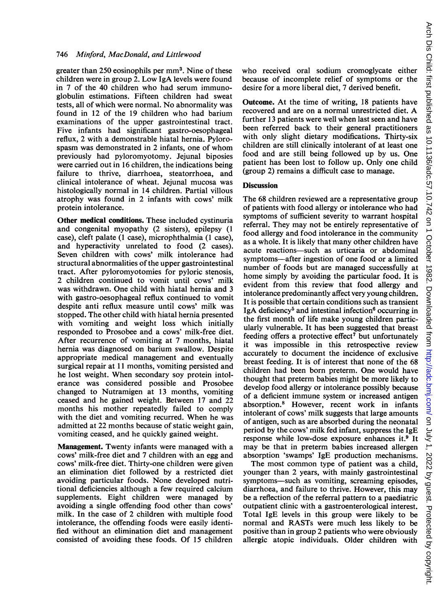## 746 Minford, MacDonald, and Littlewood

greater than 250 eosinophils per mm<sup>3</sup>. Nine of these children were in group 2. Low IgA levels were found in 7 of the 40 children who had serum immunoglobulin estimations. Fifteen children had sweat tests, all of which were normal. No abnormality was found in 12 of the 19 children who had barium examinations of the upper gastrointestinal tract. Five infants had significant gastro-oesophageal reflux, 2 with a demonstrable hiatal hernia. Pylorospasm was demonstrated in 2 infants, one of whom previously had pyloromyotomy. Jejunal biposies were carried out in 16 children, the indications being failure to thrive, diarrhoea, steatorrhoea, and clinical intolerance of wheat. Jejunal mucosa was histologically normal in 14 children. Partial villous atrophy was found in 2 infants with cows' milk protein intolerance.

Other medical conditions. These included cystinuria and congenital myopathy (2 sisters), epilepsy (1 case), cleft palate (1 case), microphthalmia (1 case), and hyperactivity unrelated to food (2 cases). Seven children with cows' milk intolerance had structural abnormalities of the upper gastrointestinal tract. After pyloromyotomies for pyloric stenosis, 2 children continued to vomit until cows' milk was withdrawn. One child with hiatal hernia and <sup>3</sup> with gastro-oesophageal reflux continued to vomit despite anti reflux measure until cows' milk was stopped. The other child with hiatal hernia presented with vomiting and weight loss which initially responded to Prosobee and a cows' milk-free diet. After recurrence of vomiting at 7 months, hiatal hernia was diagnosed on barium swallow. Despite appropriate medical management and eventually surgical repair at 11 months, vomiting persisted and he lost weight. When secondary soy protein intolerance was considered possible and Prosobee changed to Nutramigen at 13 months, vomiting ceased and he gained weight. Between 17 and 22 months his mother repeatedly failed to comply with the diet and vomiting recurred. When he was admitted at 22 months because of static weight gain, vomiting ceased, and he quickly gained weight.

Management. Twenty infants were managed with a cows' milk-free diet and 7 children with an egg and cows' milk-free diet. Thirty-one children were given an elimination diet followed by a restricted diet avoiding particular foods. None developed nutritional deficiencies although a few required calcium supplements. Eight children were managed by avoiding a single offending food other than cows' milk. In the case of 2 children with multiple food intolerance, the offending foods were easily identified without an elimination diet and management consisted of avoiding these foods. Of 15 children

who received oral sodium cromoglycate either because of incomplete relief of symptoms or the desire for a more liberal diet, 7 derived benefit.

Outcome. At the time of writing, 18 patients have recovered and are on <sup>a</sup> normal unrestricted diet. A further 13 patients were well when last seen and have been referred back to their general practitioners with only slight dietary modifications. Thirty-six children are still clinically intolerant of at least one food and are still being followed up by us. One patient has been lost to follow up. Only one child (group 2) remains a difficult case to manage.

## **Discussion**

The 68 children reviewed are a representative group of patients with food allergy or intolerance who had symptoms of sufficient severity to warrant hospital referral. They may not be entirely representative of food allergy and food intolerance in the community as a whole. It is likely that many other children have acute reactions-such as urticaria or abdominal symptoms-after ingestion of one food or a limited number of foods but are managed successfully at home simply by avoiding the particular food. It is evident from this review that food allergy and intolerance predominantly affect very young children. It is possible that certain conditions such as transient IgA deficiency<sup>5</sup> and intestinal infection<sup>6</sup> occurring in the first month of life make young children particularly vulnerable. It has been suggested that breast feeding offers a protective effect<sup>7</sup> but unfortunately it was impossible in this retrospective review accurately to document the incidence of exclusive breast feeding. It is of interest that none of the 68 children had been born preterm. One would have thought that preterm babies might be more likely to develop food allergy or intolerance possibly because of a deficient immune system or increased antigen absorption.8 However, recent work in infants intolerant of cows' milk suggests that large amounts of antigen, such as are absorbed during the neonatal period by the cows' milk fed infant, suppress the IgE response while low-dose exposure enhances it.9 It may be that in preterm babies increased allergen absorption 'swamps' IgE production mechanisms.

The most common type of patient was a child, younger than 2 years, with mainly gastrointestinal symptoms-such as vomiting, screaming episodes, diarrhoea, and failure to thrive. However, this may be a reflection of the referral pattern to a paediatric outpatient clinic with a gastroenterological interest. Total IgE levels in this group were likely to be normal and RASTs were much less likely to be positive than in group 2 patients who were obviously allergic atopic individuals. Older children with